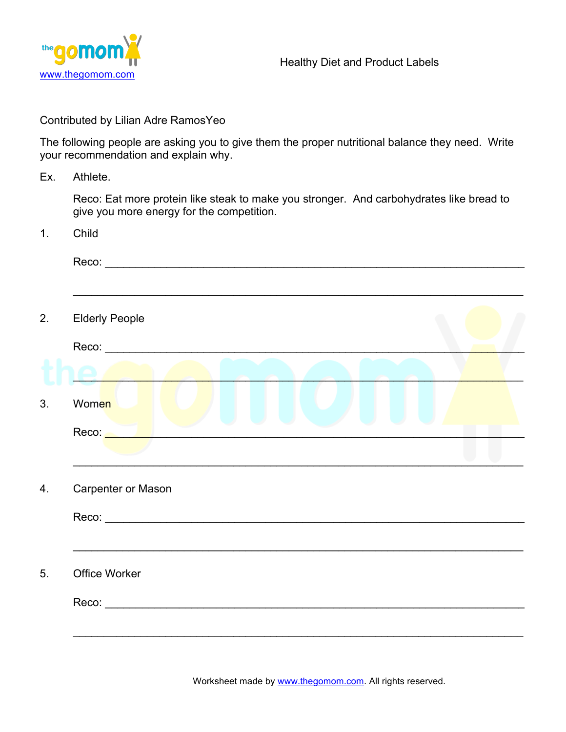

Contributed by Lilian Adre RamosYeo

The following people are asking you to give them the proper nutritional balance they need. Write your recommendation and explain why.

Ex. Athlete.

Reco: Eat more protein like steak to make you stronger. And carbohydrates like bread to give you more energy for the competition.

1. Child

| <u> 1989 - Johann Stoff, amerikansk politiker (d. 1989)</u> |  |  |
|-------------------------------------------------------------|--|--|
| <b>Elderly People</b>                                       |  |  |
|                                                             |  |  |
|                                                             |  |  |
| Women                                                       |  |  |
| Reco: <b>Album</b>                                          |  |  |
|                                                             |  |  |
| Carpenter or Mason                                          |  |  |
|                                                             |  |  |
|                                                             |  |  |
| Office Worker                                               |  |  |
|                                                             |  |  |